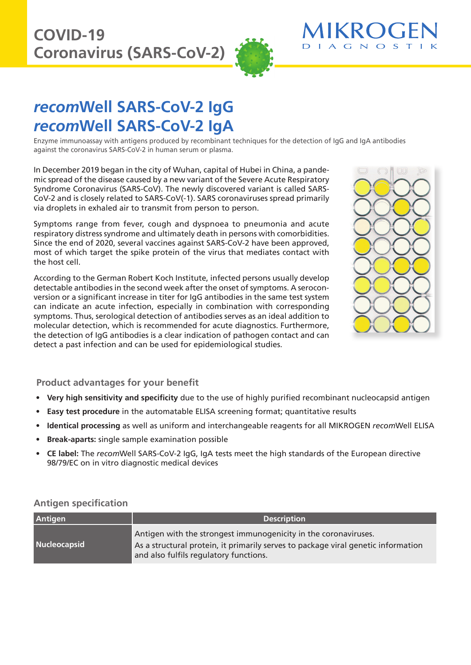

# *recom***Well SARS-CoV-2 IgG** *recom***Well SARS-CoV-2 IgA**

Enzyme immunoassay with antigens produced by recombinant techniques for the detection of IgG and IgA antibodies against the coronavirus SARS-CoV-2 in human serum or plasma.

In December 2019 began in the city of Wuhan, capital of Hubei in China, a pandemic spread of the disease caused by a new variant of the Severe Acute Respiratory Syndrome Coronavirus (SARS-CoV). The newly discovered variant is called SARS-CoV-2 and is closely related to SARS-CoV(-1). SARS coronaviruses spread primarily via droplets in exhaled air to transmit from person to person.

Symptoms range from fever, cough and dyspnoea to pneumonia and acute respiratory distress syndrome and ultimately death in persons with comorbidities. Since the end of 2020, several vaccines against SARS-CoV-2 have been approved, most of which target the spike protein of the virus that mediates contact with the host cell.

According to the German Robert Koch Institute, infected persons usually develop detectable antibodies in the second week after the onset of symptoms. A seroconversion or a significant increase in titer for IgG antibodies in the same test system can indicate an acute infection, especially in combination with corresponding symptoms. Thus, serological detection of antibodies serves as an ideal addition to molecular detection, which is recommended for acute diagnostics. Furthermore, the detection of IgG antibodies is a clear indication of pathogen contact and can detect a past infection and can be used for epidemiological studies.



## **Product advantages for your benefit**

- **Very high sensitivity and specificity** due to the use of highly purified recombinant nucleocapsid antigen
- **Easy test procedure** in the automatable ELISA screening format; quantitative results
- **Identical processing** as well as uniform and interchangeable reagents for all MIKROGEN *recom*Well ELISA
- **Break-aparts:** single sample examination possible
- **CE label:** The *recom*Well SARS-CoV-2 IgG, IgA tests meet the high standards of the European directive 98/79/EC on in vitro diagnostic medical devices

#### **Antigen specification**

| <b>Antigen</b> | <b>Description</b>                                                                                                                                                                             |
|----------------|------------------------------------------------------------------------------------------------------------------------------------------------------------------------------------------------|
| Nucleocapsid   | Antigen with the strongest immunogenicity in the coronaviruses.<br>As a structural protein, it primarily serves to package viral genetic information<br>and also fulfils regulatory functions. |